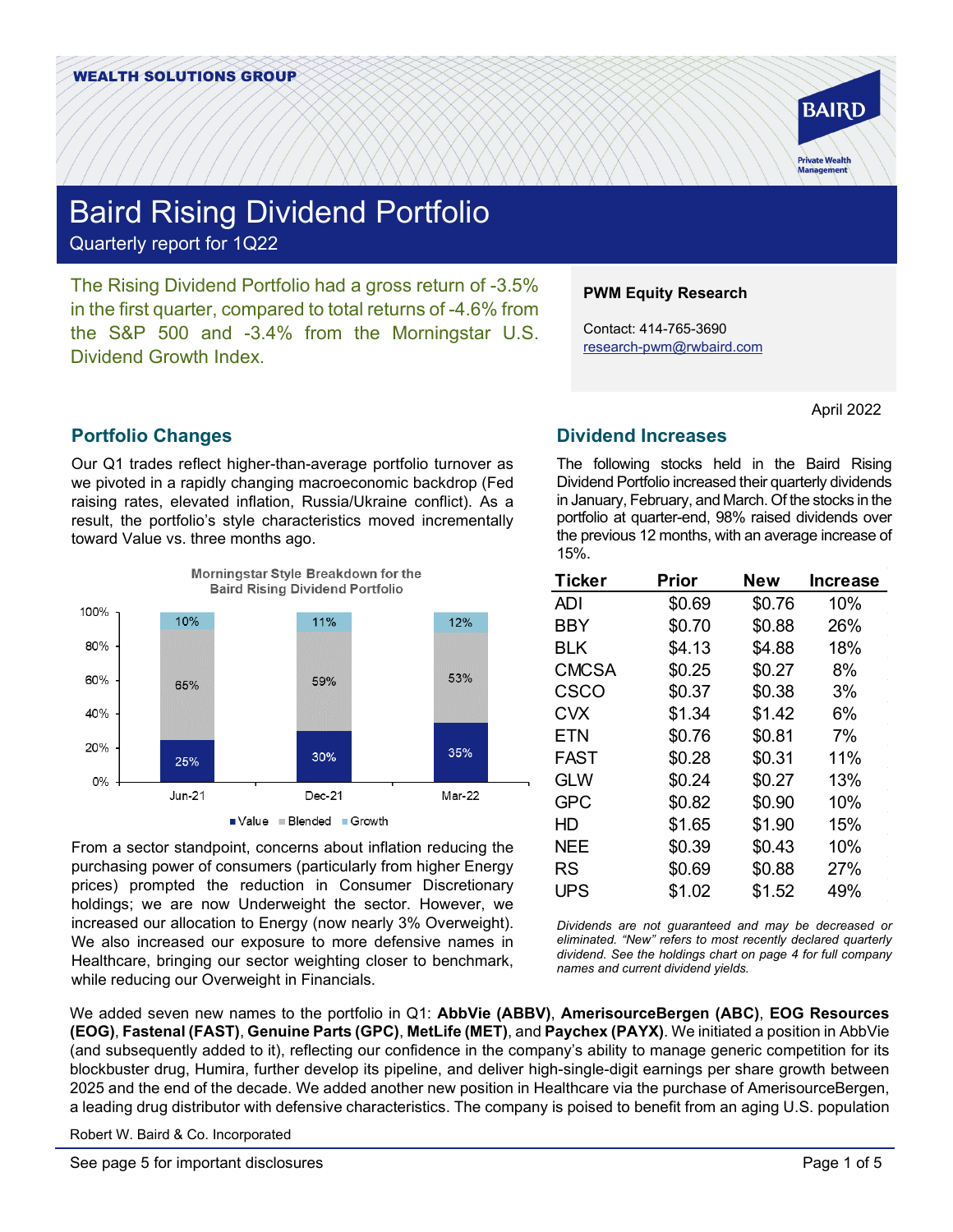

# Baird Rising Dividend Portfolio Quarterly report for 1Q22

The Rising Dividend Portfolio had a gross return of -3.5% in the first quarter, compared to total returns of -4.6% from the S&P 500 and -3.4% from the Morningstar U.S. Dividend Growth Index.

# **Portfolio Changes**

Our Q1 trades reflect higher-than-average portfolio turnover as we pivoted in a rapidly changing macroeconomic backdrop (Fed raising rates, elevated inflation, Russia/Ukraine conflict). As a result, the portfolio's style characteristics moved incrementally toward Value vs. three months ago.



From a sector standpoint, concerns about inflation reducing the purchasing power of consumers (particularly from higher Energy prices) prompted the reduction in Consumer Discretionary holdings; we are now Underweight the sector. However, we increased our allocation to Energy (now nearly 3% Overweight). We also increased our exposure to more defensive names in Healthcare, bringing our sector weighting closer to benchmark, while reducing our Overweight in Financials.

### **PWM Equity Research**

Contact: 414-765-3690 [research-pwm@rwbaird.com](mailto:research-pwm@rwbaird.com)

April 2022

# **Dividend Increases**

The following stocks held in the Baird Rising Dividend Portfolio increased their quarterly dividends in January, February, and March. Of the stocks in the portfolio at quarter-end, 98% raised dividends over the previous 12 months, with an average increase of 15%.

| Ticker       | <b>Prior</b> | <b>New</b> | <b>Increase</b> |  |  |
|--------------|--------------|------------|-----------------|--|--|
| ADI          | \$0.69       | \$0.76     | 10%             |  |  |
| <b>BBY</b>   | \$0.70       | \$0.88     | 26%             |  |  |
| BLK          | \$4.13       | \$4.88     | 18%             |  |  |
| <b>CMCSA</b> | \$0.25       | \$0.27     | 8%              |  |  |
| CSCO         | \$0.37       | \$0.38     | 3%              |  |  |
| <b>CVX</b>   | \$1.34       | \$1.42     | 6%              |  |  |
| <b>ETN</b>   | \$0.76       | \$0.81     | 7%              |  |  |
| FAST         | \$0.28       | \$0.31     | 11%             |  |  |
| <b>GLW</b>   | \$0.24       | \$0.27     | 13%             |  |  |
| <b>GPC</b>   | \$0.82       | \$0.90     | 10%             |  |  |
| HD           | \$1.65       | \$1.90     | 15%             |  |  |
| <b>NEE</b>   | \$0.39       | \$0.43     | 10%             |  |  |
| RS           | \$0.69       | \$0.88     | 27%             |  |  |
| UPS          | \$1.02       | \$1.52     | 49%             |  |  |

*Dividends are not guaranteed and may be decreased or eliminated. "New" refers to most recently declared quarterly dividend. See the holdings chart on page 4 for full company names and current dividend yields.*

We added seven new names to the portfolio in Q1: **AbbVie (ABBV)**, **AmerisourceBergen (ABC)**, **EOG Resources (EOG)**, **Fastenal (FAST)**, **Genuine Parts (GPC)**, **MetLife (MET)**, and **Paychex (PAYX)**. We initiated a position in AbbVie (and subsequently added to it), reflecting our confidence in the company's ability to manage generic competition for its blockbuster drug, Humira, further develop its pipeline, and deliver high-single-digit earnings per share growth between 2025 and the end of the decade. We added another new position in Healthcare via the purchase of AmerisourceBergen, a leading drug distributor with defensive characteristics. The company is poised to benefit from an aging U.S. population

Robert W. Baird & Co. Incorporated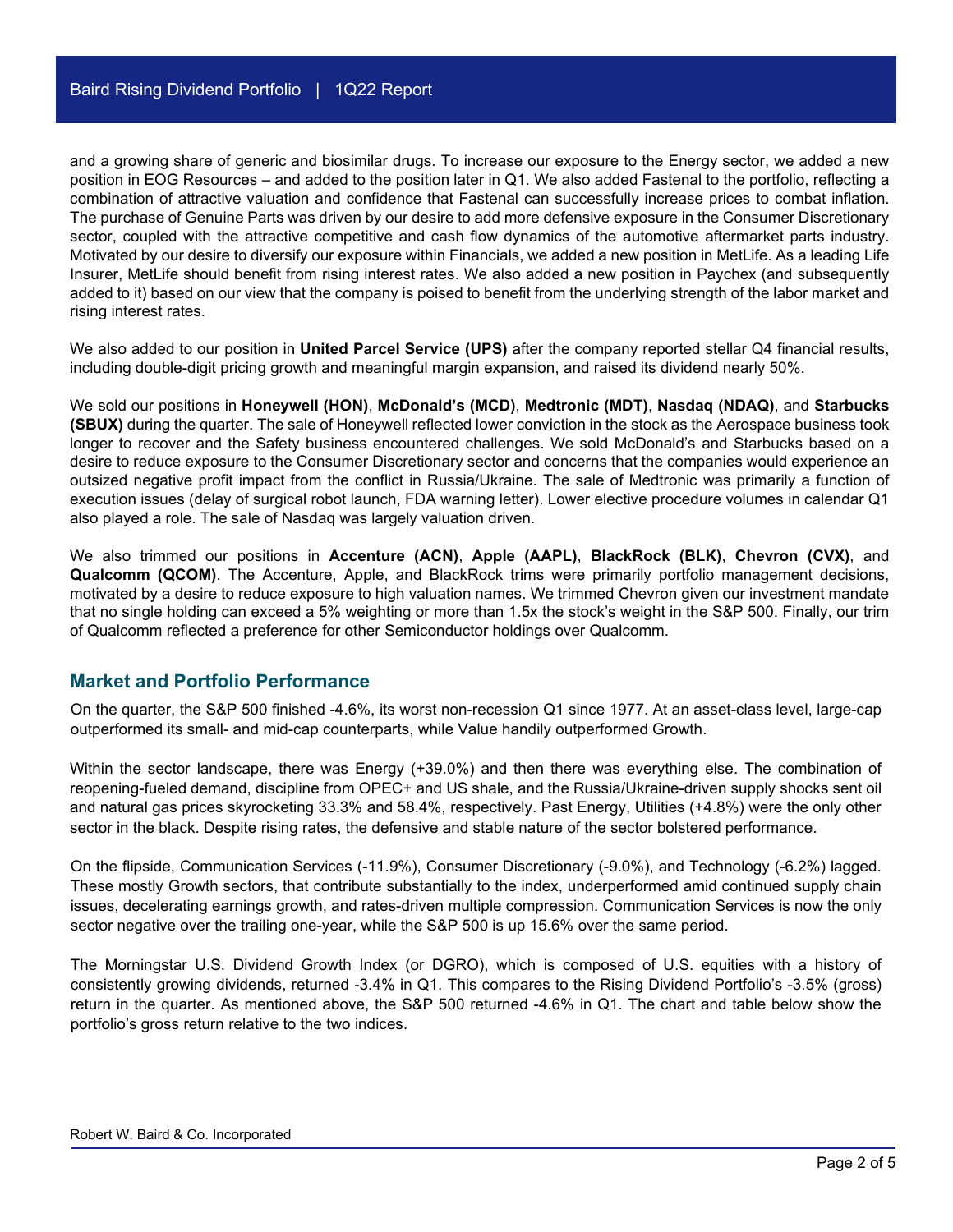and a growing share of generic and biosimilar drugs. To increase our exposure to the Energy sector, we added a new position in EOG Resources – and added to the position later in Q1. We also added Fastenal to the portfolio, reflecting a combination of attractive valuation and confidence that Fastenal can successfully increase prices to combat inflation. The purchase of Genuine Parts was driven by our desire to add more defensive exposure in the Consumer Discretionary sector, coupled with the attractive competitive and cash flow dynamics of the automotive aftermarket parts industry. Motivated by our desire to diversify our exposure within Financials, we added a new position in MetLife. As a leading Life Insurer, MetLife should benefit from rising interest rates. We also added a new position in Paychex (and subsequently added to it) based on our view that the company is poised to benefit from the underlying strength of the labor market and rising interest rates.

We also added to our position in **United Parcel Service (UPS)** after the company reported stellar Q4 financial results, including double-digit pricing growth and meaningful margin expansion, and raised its dividend nearly 50%.

We sold our positions in **Honeywell (HON)**, **McDonald's (MCD)**, **Medtronic (MDT)**, **Nasdaq (NDAQ)**, and **Starbucks (SBUX)** during the quarter. The sale of Honeywell reflected lower conviction in the stock as the Aerospace business took longer to recover and the Safety business encountered challenges. We sold McDonald's and Starbucks based on a desire to reduce exposure to the Consumer Discretionary sector and concerns that the companies would experience an outsized negative profit impact from the conflict in Russia/Ukraine. The sale of Medtronic was primarily a function of execution issues (delay of surgical robot launch, FDA warning letter). Lower elective procedure volumes in calendar Q1 also played a role. The sale of Nasdaq was largely valuation driven.

We also trimmed our positions in **Accenture (ACN)**, **Apple (AAPL)**, **BlackRock (BLK)**, **Chevron (CVX)**, and **Qualcomm (QCOM)**. The Accenture, Apple, and BlackRock trims were primarily portfolio management decisions, motivated by a desire to reduce exposure to high valuation names. We trimmed Chevron given our investment mandate that no single holding can exceed a 5% weighting or more than 1.5x the stock's weight in the S&P 500. Finally, our trim of Qualcomm reflected a preference for other Semiconductor holdings over Qualcomm.

### **Market and Portfolio Performance**

On the quarter, the S&P 500 finished -4.6%, its worst non-recession Q1 since 1977. At an asset-class level, large-cap outperformed its small- and mid-cap counterparts, while Value handily outperformed Growth.

Within the sector landscape, there was Energy (+39.0%) and then there was everything else. The combination of reopening-fueled demand, discipline from OPEC+ and US shale, and the Russia/Ukraine-driven supply shocks sent oil and natural gas prices skyrocketing 33.3% and 58.4%, respectively. Past Energy, Utilities (+4.8%) were the only other sector in the black. Despite rising rates, the defensive and stable nature of the sector bolstered performance.

On the flipside, Communication Services (-11.9%), Consumer Discretionary (-9.0%), and Technology (-6.2%) lagged. These mostly Growth sectors, that contribute substantially to the index, underperformed amid continued supply chain issues, decelerating earnings growth, and rates-driven multiple compression. Communication Services is now the only sector negative over the trailing one-year, while the S&P 500 is up 15.6% over the same period.

The Morningstar U.S. Dividend Growth Index (or DGRO), which is composed of U.S. equities with a history of consistently growing dividends, returned -3.4% in Q1. This compares to the Rising Dividend Portfolio's -3.5% (gross) return in the quarter. As mentioned above, the S&P 500 returned -4.6% in Q1. The chart and table below show the portfolio's gross return relative to the two indices.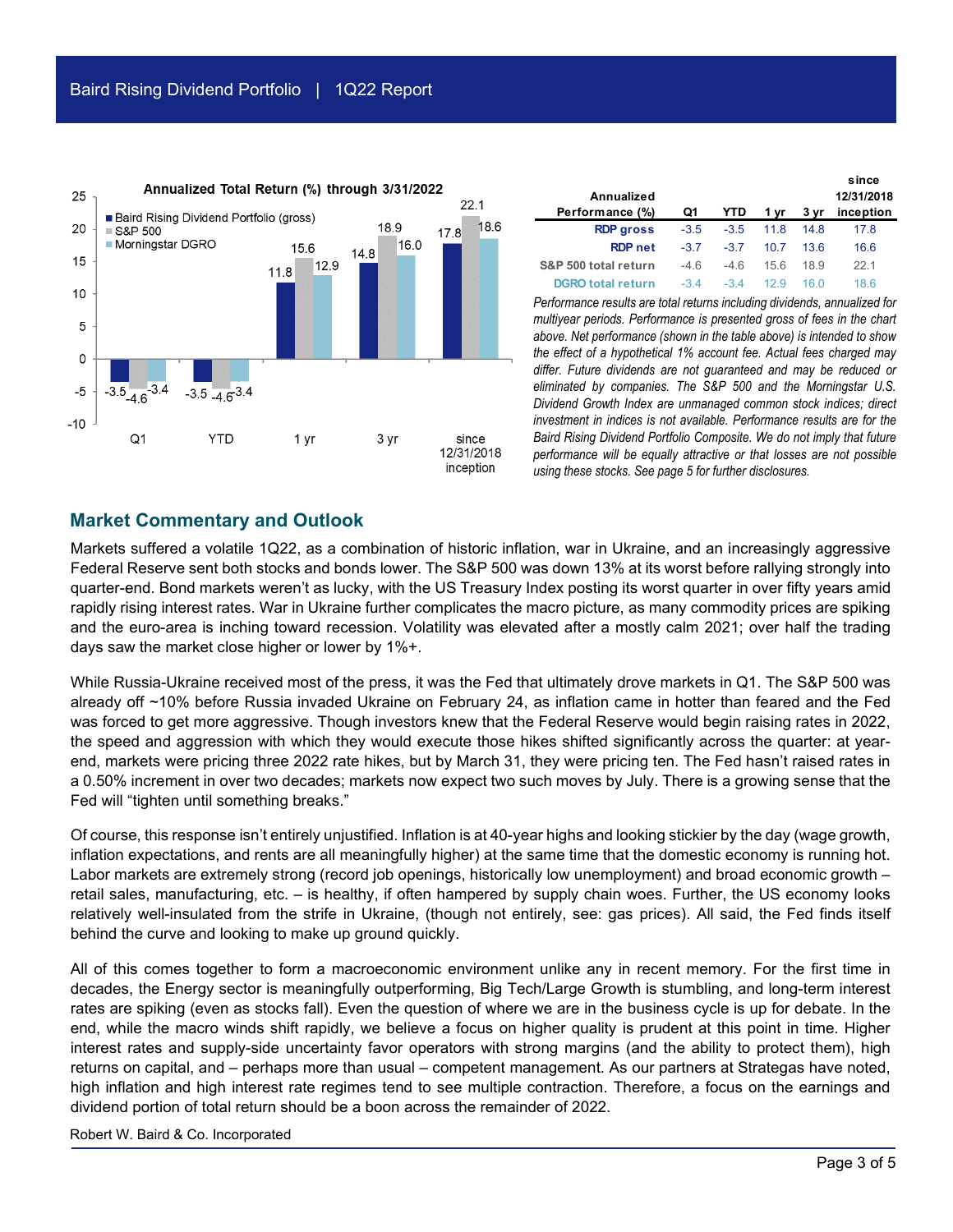

| Annualized<br>Performance (%) | Q1     | YTD.   | 1 vr | 3 vr | since<br>12/31/2018<br>inception |
|-------------------------------|--------|--------|------|------|----------------------------------|
| <b>RDP</b> gross              | $-3.5$ | $-3.5$ | 11.8 | 14 8 | 178                              |
| <b>RDP</b> net                | $-3.7$ | $-37$  | 10.7 | 13.6 | 16.6                             |
| S&P 500 total return          | $-4.6$ | $-46$  | 156  | 18.9 | 221                              |
| <b>DGRO total return</b>      | $-34$  | -34    |      |      | 18 6                             |

*Performance results are total returns including dividends, annualized for multiyear periods. Performance is presented gross of fees in the chart above. Net performance (shown in the table above) is intended to show the effect of a hypothetical 1% account fee. Actual fees charged may differ. Future dividends are not guaranteed and may be reduced or eliminated by companies. The S&P 500 and the Morningstar U.S. Dividend Growth Index are unmanaged common stock indices; direct investment in indices is not available. Performance results are for the Baird Rising Dividend Portfolio Composite. We do not imply that future performance will be equally attractive or that losses are not possible using these stocks. See page 5 for further disclosures.*

### **Market Commentary and Outlook**

Markets suffered a volatile 1Q22, as a combination of historic inflation, war in Ukraine, and an increasingly aggressive Federal Reserve sent both stocks and bonds lower. The S&P 500 was down 13% at its worst before rallying strongly into quarter-end. Bond markets weren't as lucky, with the US Treasury Index posting its worst quarter in over fifty years amid rapidly rising interest rates. War in Ukraine further complicates the macro picture, as many commodity prices are spiking and the euro-area is inching toward recession. Volatility was elevated after a mostly calm 2021; over half the trading days saw the market close higher or lower by 1%+.

While Russia-Ukraine received most of the press, it was the Fed that ultimately drove markets in Q1. The S&P 500 was already off ~10% before Russia invaded Ukraine on February 24, as inflation came in hotter than feared and the Fed was forced to get more aggressive. Though investors knew that the Federal Reserve would begin raising rates in 2022, the speed and aggression with which they would execute those hikes shifted significantly across the quarter: at yearend, markets were pricing three 2022 rate hikes, but by March 31, they were pricing ten. The Fed hasn't raised rates in a 0.50% increment in over two decades; markets now expect two such moves by July. There is a growing sense that the Fed will "tighten until something breaks."

Of course, this response isn't entirely unjustified. Inflation is at 40-year highs and looking stickier by the day (wage growth, inflation expectations, and rents are all meaningfully higher) at the same time that the domestic economy is running hot. Labor markets are extremely strong (record job openings, historically low unemployment) and broad economic growth – retail sales, manufacturing, etc. – is healthy, if often hampered by supply chain woes. Further, the US economy looks relatively well-insulated from the strife in Ukraine, (though not entirely, see: gas prices). All said, the Fed finds itself behind the curve and looking to make up ground quickly.

All of this comes together to form a macroeconomic environment unlike any in recent memory. For the first time in decades, the Energy sector is meaningfully outperforming, Big Tech/Large Growth is stumbling, and long-term interest rates are spiking (even as stocks fall). Even the question of where we are in the business cycle is up for debate. In the end, while the macro winds shift rapidly, we believe a focus on higher quality is prudent at this point in time. Higher interest rates and supply-side uncertainty favor operators with strong margins (and the ability to protect them), high returns on capital, and – perhaps more than usual – competent management. As our partners at Strategas have noted, high inflation and high interest rate regimes tend to see multiple contraction. Therefore, a focus on the earnings and dividend portion of total return should be a boon across the remainder of 2022.

Robert W. Baird & Co. Incorporated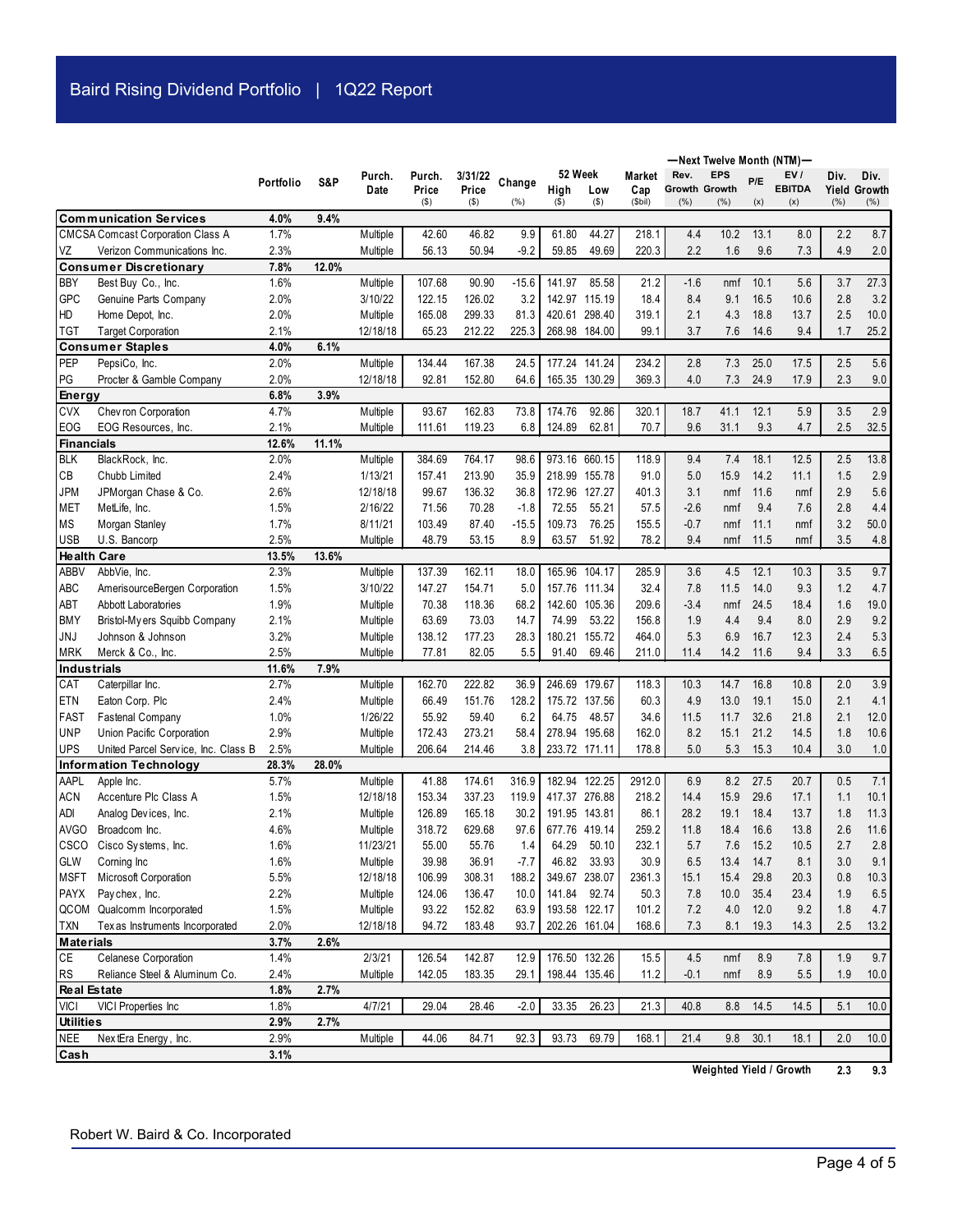|                                |                                          |              |       |                     |                 |                  |                |                        |                |                |                              | -Next Twelve Month (NTM)- |             |                      |            |                             |
|--------------------------------|------------------------------------------|--------------|-------|---------------------|-----------------|------------------|----------------|------------------------|----------------|----------------|------------------------------|---------------------------|-------------|----------------------|------------|-----------------------------|
|                                |                                          | Portfolio    | S&P   | Purch.              | Purch.          | 3/31/22          | Change         | 52 Week                |                | Market         | Rev.                         | <b>EPS</b>                | P/E         | EV/                  | Div.       | Div.                        |
|                                |                                          |              |       | Date                | Price<br>$($ \$ | Price<br>$($ \$) | (% )           | High<br>$($ \$)        | Low<br>$($ \$) | Cap<br>(\$bil) | <b>Growth Growth</b><br>(% ) | (% )                      | (x)         | <b>EBITDA</b><br>(x) | (% )       | <b>Yield Growth</b><br>(% ) |
|                                | <b>Communication Services</b>            | 4.0%         | 9.4%  |                     |                 |                  |                |                        |                |                |                              |                           |             |                      |            |                             |
|                                | <b>CMCSA Comcast Corporation Class A</b> | 1.7%         |       | Multiple            | 42.60           | 46.82            | 9.9            | 61.80                  | 44.27          | 218.1          | 4.4                          | 10.2                      | 13.1        | 8.0                  | 2.2        | 8.7                         |
| VZ                             | Verizon Communications Inc.              | 2.3%         |       | Multiple            | 56.13           | 50.94            | $-9.2$         | 59.85                  | 49.69          | 220.3          | 2.2                          | 1.6                       | 9.6         | 7.3                  | 4.9        | 2.0                         |
|                                | <b>Consumer Discretionary</b>            | 7.8%         | 12.0% |                     |                 |                  |                |                        |                |                |                              |                           |             |                      |            |                             |
| <b>BBY</b>                     | Best Buy Co., Inc.                       | 1.6%         |       | Multiple            | 107.68          | 90.90            | $-15.6$        | 141.97                 | 85.58          | 21.2           | $-1.6$                       | nmf                       | 10.1        | 5.6                  | 3.7        | 27.3                        |
| GPC                            | Genuine Parts Company                    | 2.0%         |       | 3/10/22             | 122.15          | 126.02           | 3.2            |                        | 142.97 115.19  | 18.4           | 8.4                          | 9.1                       | 16.5        | 10.6                 | 2.8        | 3.2                         |
| HD                             | Home Depot, Inc.                         | 2.0%         |       | Multiple            | 165.08          | 299.33           | 81.3           |                        | 420.61 298.40  | 319.1          | 2.1                          | 4.3                       | 18.8        | 13.7                 | 2.5        | 10.0                        |
| <b>TGT</b>                     | <b>Target Corporation</b>                | 2.1%         |       | 12/18/18            | 65.23           | 212.22           | 225.3          | 268.98 184.00          |                | 99.1           | 3.7                          | 7.6                       | 14.6        | 9.4                  | 1.7        | 25.2                        |
|                                | <b>Consumer Staples</b>                  | 4.0%         | 6.1%  |                     |                 |                  |                |                        |                |                |                              |                           |             |                      |            |                             |
| PEP                            | PepsiCo, Inc.                            | 2.0%         |       | Multiple            | 134.44          | 167.38           | 24.5           | 177.24 141.24          |                | 234.2          | 2.8                          | 7.3                       | 25.0        | 17.5                 | 2.5        | 5.6                         |
| PG                             | Procter & Gamble Company                 | 2.0%         |       | 12/18/18            | 92.81           | 152.80           | 64.6           |                        | 165.35 130.29  | 369.3          | 4.0                          | 7.3                       | 24.9        | 17.9                 | 2.3        | 9.0                         |
| Energy                         |                                          | 6.8%         | 3.9%  |                     |                 |                  |                |                        |                |                |                              |                           |             |                      |            |                             |
| <b>CVX</b>                     | Chev ron Corporation                     | 4.7%         |       | Multiple            | 93.67           | 162.83           | 73.8           | 174.76                 | 92.86          | 320.1          | 18.7                         | 41.1                      | 12.1        | 5.9                  | 3.5        | 2.9                         |
| <b>EOG</b>                     | EOG Resources, Inc.                      | 2.1%         |       | Multiple            | 111.61          | 119.23           | 6.8            | 124.89                 | 62.81          | 70.7           | 9.6                          | 31.1                      | 9.3         | 4.7                  | 2.5        | 32.5                        |
| <b>Financials</b>              |                                          | 12.6%        | 11.1% |                     |                 |                  |                |                        |                |                |                              |                           |             |                      |            |                             |
| <b>BLK</b>                     | BlackRock, Inc.                          | 2.0%         |       | Multiple            | 384.69          | 764.17<br>213.90 | 98.6           |                        | 973.16 660.15  | 118.9          | 9.4                          | 7.4                       | 18.1        | 12.5                 | 2.5        | 13.8                        |
| CB                             | Chubb Limited                            | 2.4%         |       | 1/13/21             | 157.41          |                  | 35.9           | 218.99 155.78          |                | 91.0           | 5.0                          | 15.9                      | 14.2        | 11.1                 | 1.5        | 2.9                         |
| <b>JPM</b><br><b>MET</b>       | JPMorgan Chase & Co.<br>MetLife, Inc.    | 2.6%<br>1.5% |       | 12/18/18<br>2/16/22 | 99.67<br>71.56  | 136.32<br>70.28  | 36.8<br>$-1.8$ | 172.96 127.27<br>72.55 | 55.21          | 401.3          | 3.1<br>$-2.6$                | nmf                       | 11.6<br>9.4 | nmf<br>7.6           | 2.9<br>2.8 | 5.6<br>4.4                  |
| MS                             | Morgan Stanley                           | 1.7%         |       | 8/11/21             | 103.49          | 87.40            | $-15.5$        | 109.73                 | 76.25          | 57.5<br>155.5  | $-0.7$                       | nmf<br>nmf                | 11.1        | nmf                  | 3.2        | 50.0                        |
| <b>USB</b>                     | U.S. Bancorp                             | 2.5%         |       | Multiple            | 48.79           | 53.15            | 8.9            | 63.57                  | 51.92          | 78.2           | 9.4                          | nmf                       | 11.5        | nmf                  | 3.5        | 4.8                         |
| <b>Health Care</b>             |                                          | 13.5%        | 13.6% |                     |                 |                  |                |                        |                |                |                              |                           |             |                      |            |                             |
| ABBV                           | AbbVie, Inc.                             | 2.3%         |       | Multiple            | 137.39          | 162.11           | 18.0           |                        | 165.96 104.17  | 285.9          | 3.6                          | 4.5                       | 12.1        | 10.3                 | 3.5        | 9.7                         |
| ABC                            | AmerisourceBergen Corporation            | 1.5%         |       | 3/10/22             | 147.27          | 154.71           | 5.0            |                        | 157.76 111.34  | 32.4           | 7.8                          | 11.5                      | 14.0        | 9.3                  | 1.2        | 4.7                         |
| ABT                            | Abbott Laboratories                      | 1.9%         |       | Multiple            | 70.38           | 118.36           | 68.2           |                        | 142.60 105.36  | 209.6          | $-3.4$                       | nmf                       | 24.5        | 18.4                 | 1.6        | 19.0                        |
| <b>BMY</b>                     | Bristol-My ers Squibb Company            | 2.1%         |       | Multiple            | 63.69           | 73.03            | 14.7           | 74.99                  | 53.22          | 156.8          | 1.9                          | 4.4                       | 9.4         | 8.0                  | 2.9        | 9.2                         |
| JNJ                            | Johnson & Johnson                        | 3.2%         |       | Multiple            | 138.12          | 177.23           | 28.3           |                        | 180.21 155.72  | 464.0          | 5.3                          | 6.9                       | 16.7        | 12.3                 | 2.4        | 5.3                         |
| <b>MRK</b>                     | Merck & Co., Inc.                        | 2.5%         |       | Multiple            | 77.81           | 82.05            | 5.5            | 91.40                  | 69.46          | 211.0          | 11.4                         | 14.2                      | 11.6        | 9.4                  | 3.3        | 6.5                         |
| <b>Industrials</b>             |                                          | 11.6%        | 7.9%  |                     |                 |                  |                |                        |                |                |                              |                           |             |                      |            |                             |
| CAT                            | Caterpillar Inc.                         | 2.7%         |       | Multiple            | 162.70          | 222.82           | 36.9           | 246.69 179.67          |                | 118.3          | 10.3                         | 14.7                      | 16.8        | 10.8                 | 2.0        | 3.9                         |
| ETN                            | Eaton Corp. Plc                          | 2.4%         |       | Multiple            | 66.49           | 151.76           | 128.2          |                        | 175.72 137.56  | 60.3           | 4.9                          | 13.0                      | 19.1        | 15.0                 | 2.1        | 4.1                         |
| <b>FAST</b>                    | Fastenal Company                         | 1.0%         |       | 1/26/22             | 55.92           | 59.40            | 6.2            | 64.75                  | 48.57          | 34.6           | 11.5                         | 11.7                      | 32.6        | 21.8                 | 2.1        | 12.0                        |
| <b>UNP</b>                     | Union Pacific Corporation                | 2.9%         |       | Multiple            | 172.43          | 273.21           | 58.4           | 278.94 195.68          |                | 162.0          | 8.2                          | 15.1                      | 21.2        | 14.5                 | 1.8        | 10.6                        |
| <b>UPS</b>                     | United Parcel Service, Inc. Class B      | 2.5%         |       | Multiple            | 206.64          | 214.46           | 3.8            | 233.72 171.11          |                | 178.8          | 5.0                          | 5.3                       | 15.3        | 10.4                 | 3.0        | 1.0                         |
|                                | <b>Information Technology</b>            | 28.3%        | 28.0% |                     |                 |                  |                |                        |                |                |                              |                           |             |                      |            |                             |
| AAPL                           | Apple Inc.                               | 5.7%         |       | Multiple            | 41.88           | 174.61           | 316.9          | 182.94 122.25          |                | 2912.0         | 6.9                          | 8.2                       | 27.5        | 20.7                 | 0.5        | 7.1                         |
| <b>ACN</b>                     | Accenture Plc Class A                    | 1.5%         |       | 12/18/18            | 153.34          | 337.23           | 119.9          | 417.37 276.88          |                | 218.2          | 14.4                         | 15.9                      | 29.6        | 17.1                 | 1.1        | 10.1                        |
| <b>ADI</b>                     | Analog Devices, Inc.                     | 2.1%         |       | Multiple            | 126.89          | 165.18           | 30.2           | 191.95 143.81          |                | 86.1           | 28.2                         | 19.1                      | 18.4        | 13.7                 | 1.8        | 11.3                        |
| <b>AVGO</b>                    | Broadcom Inc.                            | 4.6%         |       | Multiple            | 318.72          | 629.68           | 97.6           | 677.76 419.14          |                | 259.2          | 11.8                         | 18.4                      | 16.6        | 13.8                 | 2.6        | 11.6                        |
|                                | CSCO Cisco Systems, Inc.                 | 1.6%         |       | 11/23/21            | 55.00           | 55.76            | 1.4            |                        | 64.29 50.10    | 232.1          | $5.7$                        | $7.6$                     | 15.2        | $10.5$               | 2.7        | $2.8\,$                     |
| GLW                            | Corning Inc                              | 1.6%         |       | Multiple            | 39.98           | 36.91            | $-7.7$         |                        | 46.82 33.93    | 30.9           | 6.5                          | 13.4                      | 14.7        | 8.1                  | 3.0        | 9.1                         |
| <b>MSFT</b>                    | Microsoft Corporation                    | 5.5%         |       | 12/18/18            | 106.99          | 308.31           | 188.2          | 349.67 238.07          |                | 2361.3         | 15.1                         | 15.4                      | 29.8        | 20.3                 | 0.8        | 10.3                        |
| <b>PAYX</b>                    | Paychex, Inc.                            | 2.2%         |       | Multiple            | 124.06          | 136.47           | 10.0           | 141.84 92.74           |                | 50.3           | 7.8                          | 10.0                      | 35.4        | 23.4                 | 1.9        | 6.5                         |
|                                | QCOM Qualcomm Incorporated               | 1.5%         |       | Multiple            | 93.22           | 152.82           | 63.9           | 193.58 122.17          |                | 101.2          | 7.2                          | 4.0                       | 12.0        | 9.2                  | 1.8        | 4.7                         |
| <b>TXN</b><br><b>Materials</b> | Tex as Instruments Incorporated          | 2.0%<br>3.7% | 2.6%  | 12/18/18            | 94.72           | 183.48           | 93.7           |                        | 202.26 161.04  | 168.6          | 7.3                          | 8.1                       | 19.3        | 14.3                 | 2.5        | 13.2                        |
| CE                             | Celanese Corporation                     | 1.4%         |       | 2/3/21              | 126.54          | 142.87           | 12.9           | 176.50 132.26          |                | 15.5           | 4.5                          | nmf                       | 8.9         | 7.8                  | 1.9        | 9.7                         |
| <b>RS</b>                      | Reliance Steel & Aluminum Co.            | 2.4%         |       | Multiple            | 142.05          | 183.35           | 29.1           |                        | 198.44 135.46  | 11.2           | $-0.1$                       | nmf                       | 8.9         | 5.5                  | 1.9        | 10.0                        |
| <b>Real Estate</b>             |                                          | 1.8%         | 2.7%  |                     |                 |                  |                |                        |                |                |                              |                           |             |                      |            |                             |
| <b>VICI</b>                    | VICI Properties Inc                      | 1.8%         |       | 4/7/21              | 29.04           | 28.46            | -2.0           | 33.35                  | 26.23          | 21.3           | 40.8                         | 8.8                       | 14.5        | 14.5                 | 5.1        | 10.0                        |
| <b>Utilities</b>               |                                          | 2.9%         | 2.7%  |                     |                 |                  |                |                        |                |                |                              |                           |             |                      |            |                             |
| <b>NEE</b>                     | NextEra Energy, Inc.                     | 2.9%         |       | Multiple            | 44.06           | 84.71            | 92.3           | 93.73                  | 69.79          | 168.1          | 21.4                         | 9.8                       | 30.1        | 18.1                 | 2.0        | 10.0                        |
| Cash                           |                                          | 3.1%         |       |                     |                 |                  |                |                        |                |                |                              |                           |             |                      |            |                             |

**2.3 9.3 Weighted Yield / Growth**